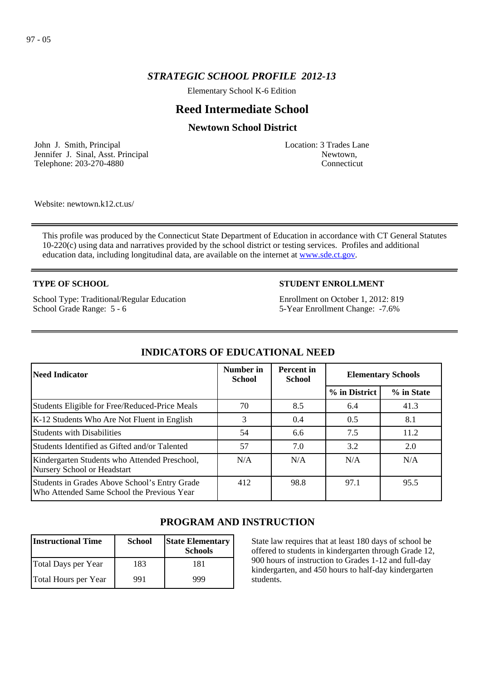# *STRATEGIC SCHOOL PROFILE 2012-13*

Elementary School K-6 Edition

# **Reed Intermediate School**

# **Newtown School District**

John J. Smith, Principal Jennifer J. Sinal, Asst. Principal Telephone: 203-270-4880

Location: 3 Trades Lane Newtown, Connecticut

Website: newtown.k12.ct.us/

This profile was produced by the Connecticut State Department of Education in accordance with CT General Statutes 10-220(c) using data and narratives provided by the school district or testing services. Profiles and additional education data, including longitudinal data, are available on the internet at [www.sde.ct.gov](http://www.sde.ct.gov/).

### **TYPE OF SCHOOL**

School Type: Traditional/Regular Education School Grade Range: 5 - 6

## **STUDENT ENROLLMENT**

Enrollment on October 1, 2012: 819 5-Year Enrollment Change: -7.6%

| Need Indicator                                                                              | Number in<br><b>School</b> | <b>Percent</b> in<br><b>School</b> | <b>Elementary Schools</b> |            |
|---------------------------------------------------------------------------------------------|----------------------------|------------------------------------|---------------------------|------------|
|                                                                                             |                            |                                    | % in District             | % in State |
| Students Eligible for Free/Reduced-Price Meals                                              | 70                         | 8.5                                | 6.4                       | 41.3       |
| K-12 Students Who Are Not Fluent in English                                                 | 3                          | 0.4                                | 0.5                       | 8.1        |
| Students with Disabilities                                                                  | 54                         | 6.6                                | 7.5                       | 11.2       |
| Students Identified as Gifted and/or Talented                                               | 57                         | 7.0                                | 3.2                       | 2.0        |
| Kindergarten Students who Attended Preschool,<br>Nursery School or Headstart                | N/A                        | N/A                                | N/A                       | N/A        |
| Students in Grades Above School's Entry Grade<br>Who Attended Same School the Previous Year | 412                        | 98.8                               | 97.1                      | 95.5       |

# **INDICATORS OF EDUCATIONAL NEED**

# **PROGRAM AND INSTRUCTION**

| <b>Instructional Time</b> | <b>School</b> | <b>State Elementary</b><br><b>Schools</b> |
|---------------------------|---------------|-------------------------------------------|
| Total Days per Year       | 183           | 181                                       |
| Total Hours per Year      | 991           | 999                                       |

State law requires that at least 180 days of school be offered to students in kindergarten through Grade 12, 900 hours of instruction to Grades 1-12 and full-day kindergarten, and 450 hours to half-day kindergarten students.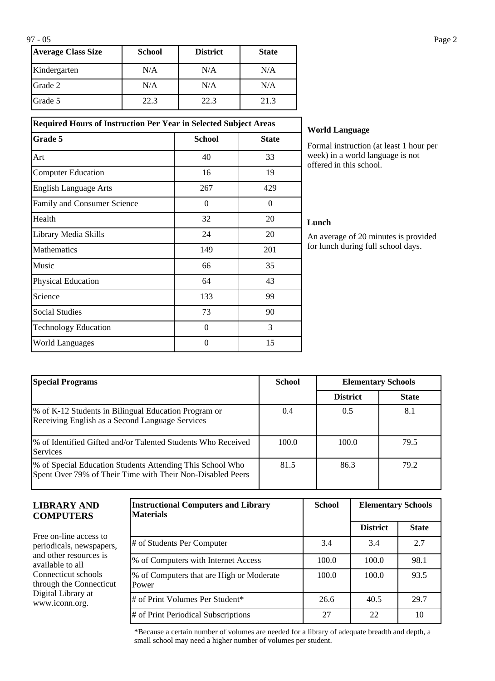| <b>Average Class Size</b> | School | <b>District</b> | <b>State</b> |
|---------------------------|--------|-----------------|--------------|
| Kindergarten              | N/A    | N/A             | N/A          |
| Grade 2                   | N/A    | N/A             | N/A          |
| <b>IGrade 5</b>           | 22.3   | 22.3            | 21.3         |

| <b>Required Hours of Instruction Per Year in Selected Subject Areas</b> |               |              |  |  |
|-------------------------------------------------------------------------|---------------|--------------|--|--|
| Grade 5                                                                 | <b>School</b> | <b>State</b> |  |  |
| Art                                                                     | 40            | 33           |  |  |
| <b>Computer Education</b>                                               | 16            | 19           |  |  |
| <b>English Language Arts</b>                                            | 267           | 429          |  |  |
| Family and Consumer Science                                             | $\Omega$      | $\Omega$     |  |  |
| Health                                                                  | 32            | 20           |  |  |
| Library Media Skills                                                    | 24            | 20           |  |  |
| Mathematics                                                             | 149           | 201          |  |  |
| Music                                                                   | 66            | 35           |  |  |
| <b>Physical Education</b>                                               | 64            | 43           |  |  |
| Science                                                                 | 133           | 99           |  |  |
| <b>Social Studies</b>                                                   | 73            | 90           |  |  |
| <b>Technology Education</b>                                             | $\Omega$      | 3            |  |  |
| <b>World Languages</b>                                                  | $\theta$      | 15           |  |  |

### **World Language**

Formal instruction (at least 1 hour per week) in a world language is not offered in this school.

### **Lunch**

An average of 20 minutes is provided for lunch during full school days.

| <b>Special Programs</b>                                                                                                 | <b>School</b><br><b>Elementary Schools</b> |                 |              |
|-------------------------------------------------------------------------------------------------------------------------|--------------------------------------------|-----------------|--------------|
|                                                                                                                         |                                            | <b>District</b> | <b>State</b> |
| % of K-12 Students in Bilingual Education Program or<br>Receiving English as a Second Language Services                 | 0.4                                        | 0.5             | 8.1          |
| % of Identified Gifted and/or Talented Students Who Received<br><b>Services</b>                                         | 100.0                                      | 100.0           | 79.5         |
| % of Special Education Students Attending This School Who<br>Spent Over 79% of Their Time with Their Non-Disabled Peers | 81.5                                       | 86.3            | 79.2         |

| LIBRARY AND<br><b>COMPUTERS</b>                                                                                                       | <b>Instructional Computers and Library</b><br><b>Materials</b> | <b>School</b> | <b>Elementary Schools</b> |              |
|---------------------------------------------------------------------------------------------------------------------------------------|----------------------------------------------------------------|---------------|---------------------------|--------------|
|                                                                                                                                       |                                                                |               | <b>District</b>           | <b>State</b> |
| Free on-line access to<br>periodicals, newspapers,                                                                                    | # of Students Per Computer                                     | 3.4           | 3.4                       | 2.7          |
| and other resources is<br>available to all-<br>Connecticut schools<br>through the Connecticut<br>Digital Library at<br>www.iconn.org. | % of Computers with Internet Access                            | 100.0         | 100.0                     | 98.1         |
|                                                                                                                                       | % of Computers that are High or Moderate<br>Power              | 100.0         | 100.0                     | 93.5         |
|                                                                                                                                       | # of Print Volumes Per Student*                                | 26.6          | 40.5                      | 29.7         |
|                                                                                                                                       | # of Print Periodical Subscriptions                            | 27            | 22                        | 10           |

\*Because a certain number of volumes are needed for a library of adequate breadth and depth, a small school may need a higher number of volumes per student.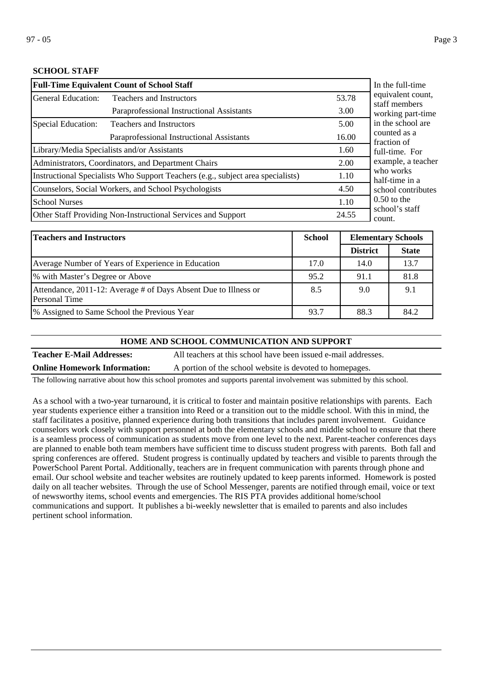## **SCHOOL STAFF**

| <b>Full-Time Equivalent Count of School Staff</b>                                       | In the full-time                                    |                                    |                             |
|-----------------------------------------------------------------------------------------|-----------------------------------------------------|------------------------------------|-----------------------------|
| General Education:                                                                      | 53.78                                               | equivalent count,<br>staff members |                             |
|                                                                                         | Paraprofessional Instructional Assistants           | 3.00                               | working part-time           |
| Special Education:                                                                      | <b>Teachers and Instructors</b>                     | 5.00                               | in the school are           |
|                                                                                         | 16.00                                               | counted as a<br>fraction of        |                             |
|                                                                                         | Library/Media Specialists and/or Assistants         | 1.60                               | full-time. For              |
|                                                                                         | Administrators, Coordinators, and Department Chairs | 2.00                               | example, a teacher          |
| Instructional Specialists Who Support Teachers (e.g., subject area specialists)<br>1.10 |                                                     |                                    | who works<br>half-time in a |
| Counselors, Social Workers, and School Psychologists                                    |                                                     |                                    | school contributes          |
| <b>School Nurses</b>                                                                    | 1.10                                                | $0.50$ to the                      |                             |
| Other Staff Providing Non-Instructional Services and Support<br>24.55                   |                                                     |                                    | school's staff<br>count.    |

| Teachers and Instructors                                                                | <b>School</b> | <b>Elementary Schools</b> |              |
|-----------------------------------------------------------------------------------------|---------------|---------------------------|--------------|
|                                                                                         |               | <b>District</b>           | <b>State</b> |
| Average Number of Years of Experience in Education                                      | 17.0          | 14.0                      | 13.7         |
| % with Master's Degree or Above                                                         | 95.2          | 91.1                      | 81.8         |
| Attendance, 2011-12: Average # of Days Absent Due to Illness or<br><b>Personal Time</b> | 8.5           | 9.0                       | 9.1          |
| 1% Assigned to Same School the Previous Year                                            | 93.7          | 88.3                      | 84.2         |

#### **HOME AND SCHOOL COMMUNICATION AND SUPPORT**

**Teacher E-Mail Addresses:** All teachers at this school have been issued e-mail addresses.

**Online Homework Information:** A portion of the school website is devoted to homepages.

The following narrative about how this school promotes and supports parental involvement was submitted by this school.

As a school with a two-year turnaround, it is critical to foster and maintain positive relationships with parents. Each year students experience either a transition into Reed or a transition out to the middle school. With this in mind, the staff facilitates a positive, planned experience during both transitions that includes parent involvement. Guidance counselors work closely with support personnel at both the elementary schools and middle school to ensure that there is a seamless process of communication as students move from one level to the next. Parent-teacher conferences days are planned to enable both team members have sufficient time to discuss student progress with parents. Both fall and spring conferences are offered. Student progress is continually updated by teachers and visible to parents through the PowerSchool Parent Portal. Additionally, teachers are in frequent communication with parents through phone and email. Our school website and teacher websites are routinely updated to keep parents informed. Homework is posted daily on all teacher websites. Through the use of School Messenger, parents are notified through email, voice or text of newsworthy items, school events and emergencies. The RIS PTA provides additional home/school communications and support. It publishes a bi-weekly newsletter that is emailed to parents and also includes pertinent school information.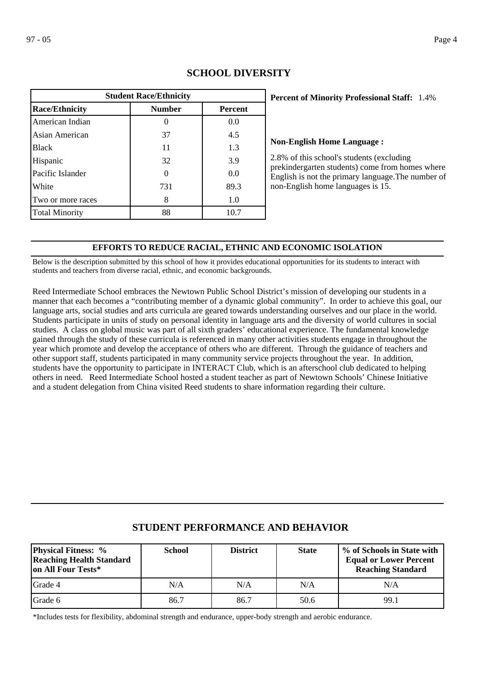| <b>Student Race/Ethnicity</b> |               |                |  |  |
|-------------------------------|---------------|----------------|--|--|
| <b>Race/Ethnicity</b>         | <b>Number</b> | <b>Percent</b> |  |  |
| American Indian               |               | 0.0            |  |  |
| Asian American                | 37            | 4.5            |  |  |
| <b>Black</b>                  | 11            | 1.3            |  |  |
| Hispanic                      | 32            | 3.9            |  |  |
| Pacific Islander              |               | 0.0            |  |  |
| White                         | 731           | 89.3           |  |  |
| Two or more races             | 8             | 1.0            |  |  |
| <b>Total Minority</b>         | 88            | 10.7           |  |  |

# **SCHOOL DIVERSITY**

## **Percent of Minority Professional Staff: 1.4%**

### **Non-English Home Language :**

2.8% of this school's students (excluding prekindergarten students) come from homes where English is not the primary language.The number of non-English home languages is 15.

### **EFFORTS TO REDUCE RACIAL, ETHNIC AND ECONOMIC ISOLATION**

Below is the description submitted by this school of how it provides educational opportunities for its students to interact with students and teachers from diverse racial, ethnic, and economic backgrounds.

Reed Intermediate School embraces the Newtown Public School District's mission of developing our students in a manner that each becomes a "contributing member of a dynamic global community". In order to achieve this goal, our language arts, social studies and arts curricula are geared towards understanding ourselves and our place in the world. Students participate in units of study on personal identity in language arts and the diversity of world cultures in social studies. A class on global music was part of all sixth graders' educational experience. The fundamental knowledge gained through the study of these curricula is referenced in many other activities students engage in throughout the year which promote and develop the acceptance of others who are different. Through the guidance of teachers and other support staff, students participated in many community service projects throughout the year. In addition, students have the opportunity to participate in INTERACT Club, which is an afterschool club dedicated to helping others in need. Reed Intermediate School hosted a student teacher as part of Newtown Schools' Chinese Initiative and a student delegation from China visited Reed students to share information regarding their culture.

| <b>Physical Fitness:</b> %<br><b>Reaching Health Standard</b><br>on All Four Tests* | <b>School</b> | <b>District</b> | <b>State</b> | % of Schools in State with<br><b>Equal or Lower Percent</b><br><b>Reaching Standard</b> |
|-------------------------------------------------------------------------------------|---------------|-----------------|--------------|-----------------------------------------------------------------------------------------|
| <b>I</b> Grade 4                                                                    | N/A           | N/A             | N/A          | N/A                                                                                     |
| Grade 6                                                                             | 86.7          | 86.7            | 50.6         | 99.1                                                                                    |

# **STUDENT PERFORMANCE AND BEHAVIOR**

\*Includes tests for flexibility, abdominal strength and endurance, upper-body strength and aerobic endurance.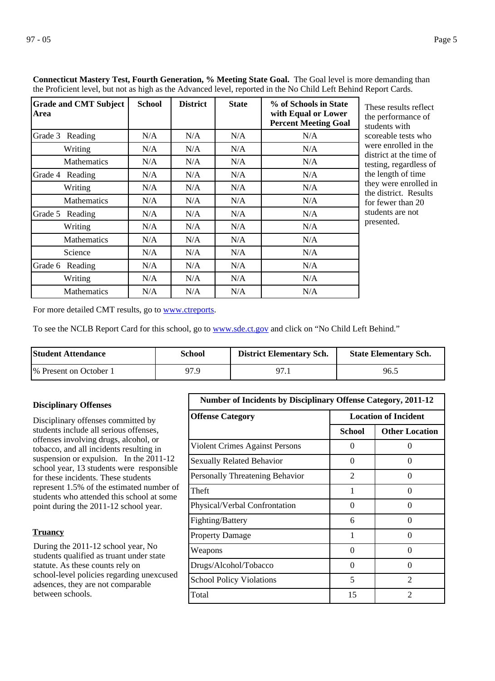**Area**

**Grade and CMT Subject** 

Grade 3 Reading

Grade 4 Reading

|                    |               |                 |              | <b>icut Mastery Test, Fourth Generation, % Meeting State Goal.</b> The Goal level is more demanding<br>cient level, but not as high as the Advanced level, reported in the No Child Left Behind Report Cards. |                                                          |
|--------------------|---------------|-----------------|--------------|---------------------------------------------------------------------------------------------------------------------------------------------------------------------------------------------------------------|----------------------------------------------------------|
| nd CMT Subject     | <b>School</b> | <b>District</b> | <b>State</b> | % of Schools in State<br>with Equal or Lower<br><b>Percent Meeting Goal</b>                                                                                                                                   | These results i<br>the performan<br>students with        |
| Reading            | N/A           | N/A             | N/A          | N/A                                                                                                                                                                                                           | scoreable tests                                          |
| Writing            | N/A           | N/A             | N/A          | N/A                                                                                                                                                                                                           | were enrolled<br>district at the t                       |
| <b>Mathematics</b> | N/A           | N/A             | N/A          | N/A                                                                                                                                                                                                           | testing, regard                                          |
| Reading            | N/A           | N/A             | N/A          | N/A                                                                                                                                                                                                           | the length of the                                        |
| Writing            | N/A           | N/A             | N/A          | N/A                                                                                                                                                                                                           | they were enro<br>$\mathbf{1}$ $\mathbf{1}$ $\mathbf{1}$ |

**Connecticut Mastery Test, Fourth Generation, % Meeting State Goal.** The Goal level is more demanding than the Proficient level, but not as

> reflect ce of who in the ime of less of ime blled in the district. Results for fewer than 20 students are not presented.

For more detailed CMT results, go to **[www.ctreports](http://www.ctreports/)**.

To see the NCLB Report Card for this school, go to [www.sde.ct.gov](http://www.sde.ct.gov/) and click on "No Child Left Behind."

Mathematics N/A N/A N/A N/A N/A

Writing  $N/A$  |  $N/A$  |  $N/A$  |  $N/A$ Mathematics N/A N/A N/A N/A N/A Science  $N/A$  N/A N/A N/A N/A

Writing  $N/A$  |  $N/A$  |  $N/A$  |  $N/A$ Mathematics N/A N/A N/A N/A N/A

Grade 5 Reading  $N/A$  | N/A | N/A | N/A

Grade 6 Reading N/A N/A N/A N/A N/A

| <b>Student Attendance</b> | School | <b>District Elementary Sch.</b> | <b>State Elementary Sch.</b> |
|---------------------------|--------|---------------------------------|------------------------------|
| 1\% Present on October 1  | 97.9   | 97                              | 96.5                         |

## Disciplinary offenses committed by students include all serious offenses, offenses involving drugs, alcohol, or tobacco, and all incidents resulting in suspension or expulsion. In the 2011-12 school year, 13 students were responsible for these incidents. These students represent 1.5% of the estimated number of students who attended this school at some point during the 2011-12 school year. **Disciplinary Offenses**

### **Truancy**

During the 2011-12 school year, No students qualified as truant under state statute. As these counts rely on school-level policies regarding unexcused adsences, they are not comparable between schools.

| <b>Number of Incidents by Disciplinary Offense Category, 2011-12</b> |                             |                             |
|----------------------------------------------------------------------|-----------------------------|-----------------------------|
| <b>Offense Category</b>                                              | <b>Location of Incident</b> |                             |
|                                                                      | School                      | <b>Other Location</b>       |
| <b>Violent Crimes Against Persons</b>                                | 0                           | $\Omega$                    |
| <b>Sexually Related Behavior</b>                                     | 0                           | $\mathbf{\Omega}$           |
| Personally Threatening Behavior                                      | 2                           | 0                           |
| Theft                                                                | 1                           | 0                           |
| Physical/Verbal Confrontation                                        | 0                           | $\Omega$                    |
| Fighting/Battery                                                     | 6                           | ∩                           |
| <b>Property Damage</b>                                               | 1                           | $\Omega$                    |
| Weapons                                                              | 0                           | $\Omega$                    |
| Drugs/Alcohol/Tobacco                                                | $\Omega$                    | ∩                           |
| <b>School Policy Violations</b>                                      | 5                           | $\mathcal{D}_{\mathcal{A}}$ |
| Total                                                                | 15                          | $\mathfrak{D}$              |